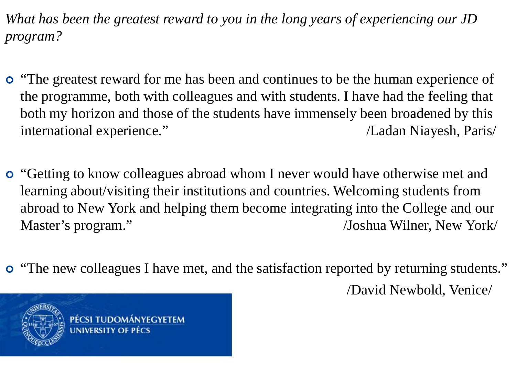*What has been the greatest reward to you in the long years of experiencing our JD program?*

- **•** "The greatest reward for me has been and continues to be the human experience of the programme, both with colleagues and with students. I have had the feeling that both my horizon and those of the students have immensely been broadened by this international experience." /Ladan Niayesh, Paris/
- **o** "Getting to know colleagues abroad whom I never would have otherwise met and learning about/visiting their institutions and countries. Welcoming students from abroad to New York and helping them become integrating into the College and our Master's program." /Joshua Wilner, New York
- "The new colleagues I have met, and the satisfaction reported by returning students." /David Newbold, Venice/

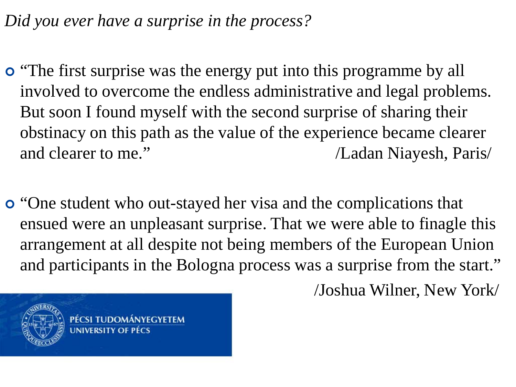*Did you ever have a surprise in the process?*

- **o** "The first surprise was the energy put into this programme by all involved to overcome the endless administrative and legal problems. But soon I found myself with the second surprise of sharing their obstinacy on this path as the value of the experience became clearer and clearer to me." /Ladan Niayesh, Paris/
- **o** "One student who out-stayed her visa and the complications that ensued were an unpleasant surprise. That we were able to finagle this arrangement at all despite not being members of the European Union and participants in the Bologna process was a surprise from the start."

/Joshua Wilner, New York/

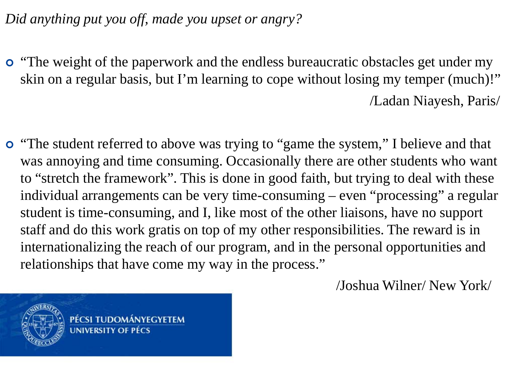*Did anything put you off, made you upset or angry?*

- "The weight of the paperwork and the endless bureaucratic obstacles get under my skin on a regular basis, but I'm learning to cope without losing my temper (much)!" /Ladan Niayesh, Paris/
- "The student referred to above was trying to "game the system," I believe and that was annoying and time consuming. Occasionally there are other students who want to "stretch the framework". This is done in good faith, but trying to deal with these individual arrangements can be very time-consuming – even "processing" a regular student is time-consuming, and I, like most of the other liaisons, have no support staff and do this work gratis on top of my other responsibilities. The reward is in internationalizing the reach of our program, and in the personal opportunities and relationships that have come my way in the process."

PÉCSI TUDOMÁNYEGYETEM **INIVERSITY OF PÉCS** 

/Joshua Wilner/ New York/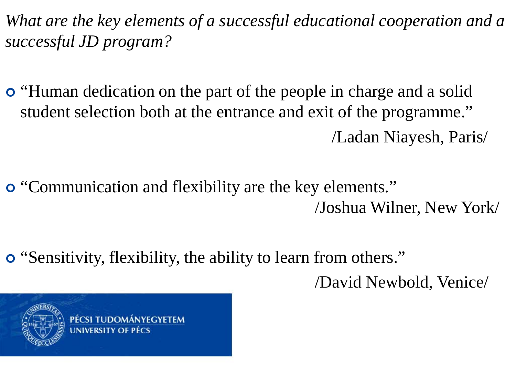*What are the key elements of a successful educational cooperation and a successful JD program?*

- "Human dedication on the part of the people in charge and a solid student selection both at the entrance and exit of the programme." /Ladan Niayesh, Paris/
- "Communication and flexibility are the key elements." /Joshua Wilner, New York/
- "Sensitivity, flexibility, the ability to learn from others."

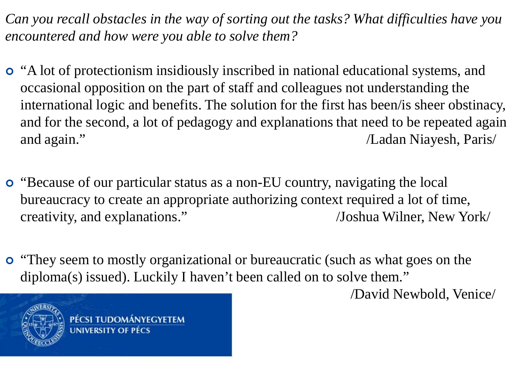*Can you recall obstacles in the way of sorting out the tasks? What difficulties have you encountered and how were you able to solve them?*

- "A lot of protectionism insidiously inscribed in national educational systems, and occasional opposition on the part of staff and colleagues not understanding the international logic and benefits. The solution for the first has been/is sheer obstinacy, and for the second, a lot of pedagogy and explanations that need to be repeated again and again." /Ladan Niayesh, Paris/
- "Because of our particular status as a non-EU country, navigating the local bureaucracy to create an appropriate authorizing context required a lot of time, creativity, and explanations." /Joshua Wilner, New York/
- "They seem to mostly organizational or bureaucratic (such as what goes on the diploma(s) issued). Luckily I haven't been called on to solve them."

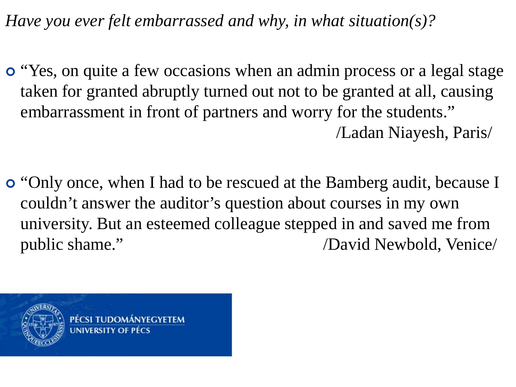*Have you ever felt embarrassed and why, in what situation(s)?*

- **o** "Yes, on quite a few occasions when an admin process or a legal stage taken for granted abruptly turned out not to be granted at all, causing embarrassment in front of partners and worry for the students." /Ladan Niayesh, Paris/
- "Only once, when I had to be rescued at the Bamberg audit, because I couldn't answer the auditor's question about courses in my own university. But an esteemed colleague stepped in and saved me from public shame." /David Newbold, Venice/

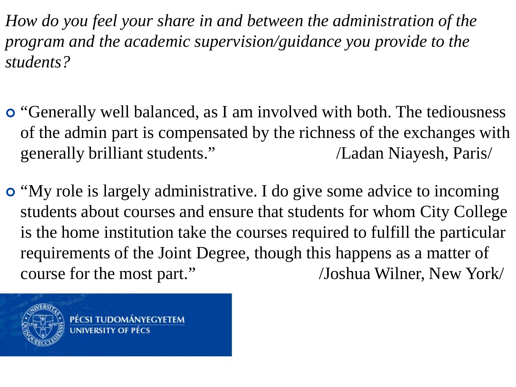*How do you feel your share in and between the administration of the program and the academic supervision/guidance you provide to the students?*

- **o** "Generally well balanced, as I am involved with both. The tediousness of the admin part is compensated by the richness of the exchanges with generally brilliant students." /Ladan Niayesh, Paris/
- "My role is largely administrative. I do give some advice to incoming students about courses and ensure that students for whom City College is the home institution take the courses required to fulfill the particular requirements of the Joint Degree, though this happens as a matter of course for the most part." /Joshua Wilner, New York/

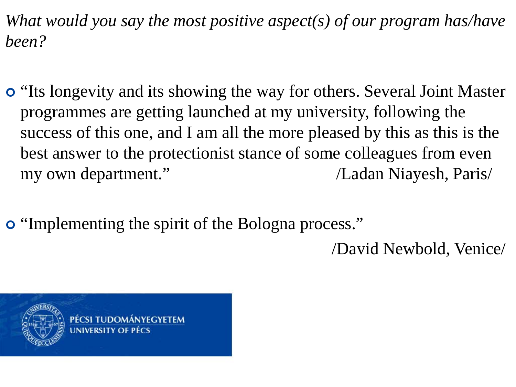*What would you say the most positive aspect(s) of our program has/have been?*

- "Its longevity and its showing the way for others. Several Joint Master programmes are getting launched at my university, following the success of this one, and I am all the more pleased by this as this is the best answer to the protectionist stance of some colleagues from even my own department." /Ladan Niayesh, Paris/
- "Implementing the spirit of the Bologna process."

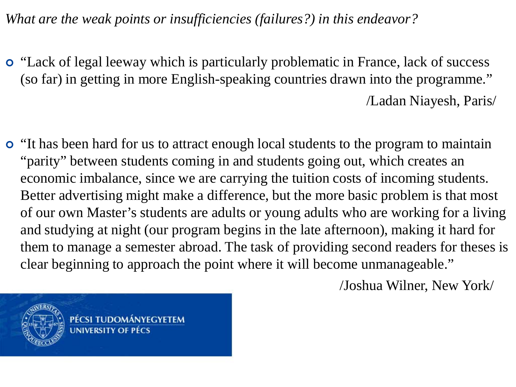*What are the weak points or insufficiencies (failures?) in this endeavor?*

- "Lack of legal leeway which is particularly problematic in France, lack of success (so far) in getting in more English-speaking countries drawn into the programme." /Ladan Niayesh, Paris/
- "It has been hard for us to attract enough local students to the program to maintain "parity" between students coming in and students going out, which creates an economic imbalance, since we are carrying the tuition costs of incoming students. Better advertising might make a difference, but the more basic problem is that most of our own Master's students are adults or young adults who are working for a living and studying at night (our program begins in the late afternoon), making it hard for them to manage a semester abroad. The task of providing second readers for theses is clear beginning to approach the point where it will become unmanageable."

PÉCSI TUDOMÁNYEGYETEM **UNIVERSITY OF PECS** 

/Joshua Wilner, New York/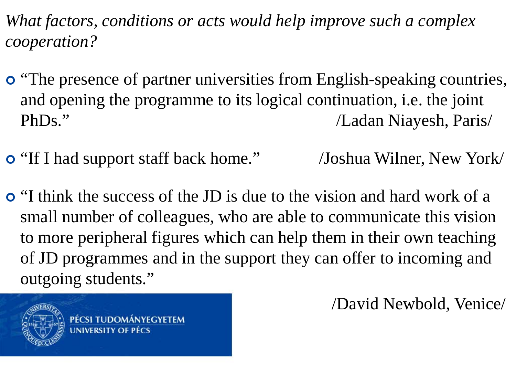*What factors, conditions or acts would help improve such a complex cooperation?*

- **o** "The presence of partner universities from English-speaking countries, and opening the programme to its logical continuation, i.e. the joint PhDs." /Ladan Niayesh, Paris/
- "If I had support staff back home." /Joshua Wilner, New York/
- "I think the success of the JD is due to the vision and hard work of a small number of colleagues, who are able to communicate this vision to more peripheral figures which can help them in their own teaching of JD programmes and in the support they can offer to incoming and outgoing students."

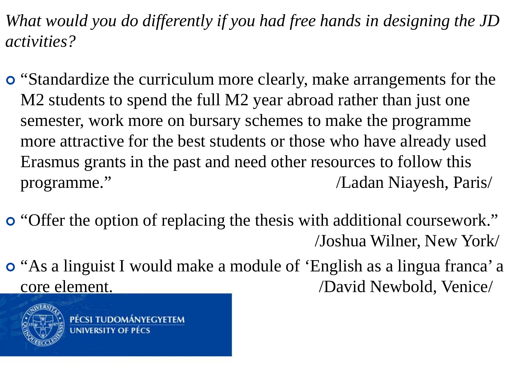*What would you do differently if you had free hands in designing the JD activities?*

- "Standardize the curriculum more clearly, make arrangements for the M2 students to spend the full M2 year abroad rather than just one semester, work more on bursary schemes to make the programme more attractive for the best students or those who have already used Erasmus grants in the past and need other resources to follow this programme." /Ladan Niayesh, Paris/
- "Offer the option of replacing the thesis with additional coursework." /Joshua Wilner, New York/
- "As a linguist I would make a module of 'English as a lingua franca' a core element. /David Newbold, Venice/

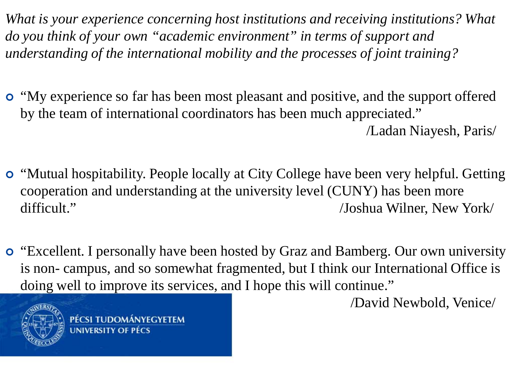*What is your experience concerning host institutions and receiving institutions? What do you think of your own "academic environment" in terms of support and understanding of the international mobility and the processes of joint training?*

- "My experience so far has been most pleasant and positive, and the support offered by the team of international coordinators has been much appreciated." /Ladan Niayesh, Paris/
- "Mutual hospitability. People locally at City College have been very helpful. Getting cooperation and understanding at the university level (CUNY) has been more difficult." /Joshua Wilner, New York
- **o** "Excellent. I personally have been hosted by Graz and Bamberg. Our own university is non- campus, and so somewhat fragmented, but I think our International Office is doing well to improve its services, and I hope this will continue."

PÉCSI TUDOMÁNYEGYETEM

**UNIVERSITY OF PÉCS**